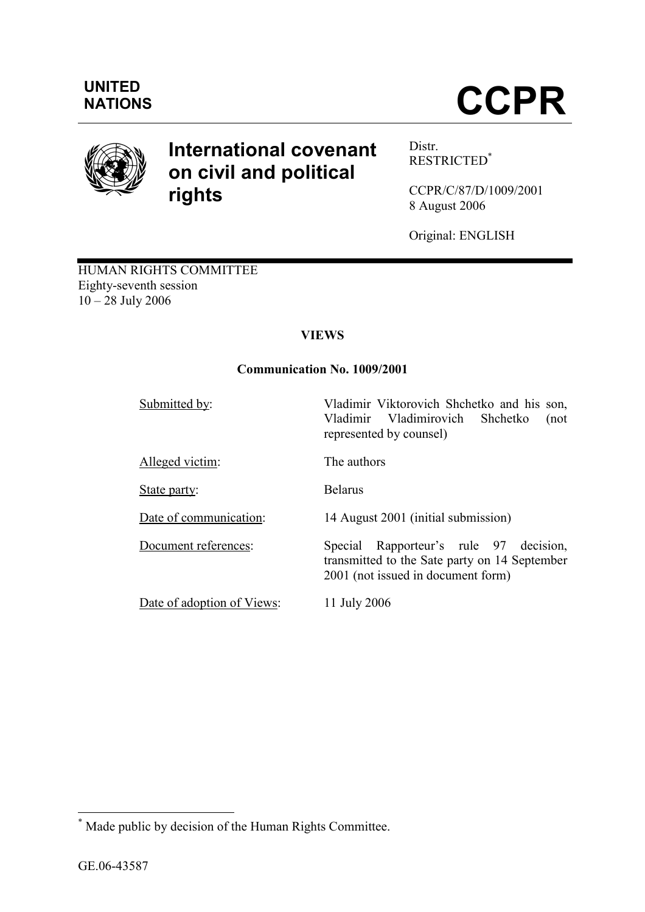## UNITED

# NATIONS **CCPR**



### International covenant on civil and political rights

Distr. RESTRICTED\*

CCPR/C/87/D/1009/2001 8 August 2006

Original: ENGLISH

HUMAN RIGHTS COMMITTEE Eighty-seventh session 10 – 28 July 2006

#### VIEWS

#### Communication No. 1009/2001

Submitted by: Vladimir Viktorovich Shchetko and his son,

Alleged victim: The authors

State party: Belarus

Date of adoption of Views: 11 July 2006

Date of communication: 14 August 2001 (initial submission)

represented by counsel)

Document references: Special Rapporteur's rule 97 decision, transmitted to the Sate party on 14 September 2001 (not issued in document form)

Vladimir Vladimirovich Shchetko (not

 $\overline{a}$ 

<sup>\*</sup> Made public by decision of the Human Rights Committee.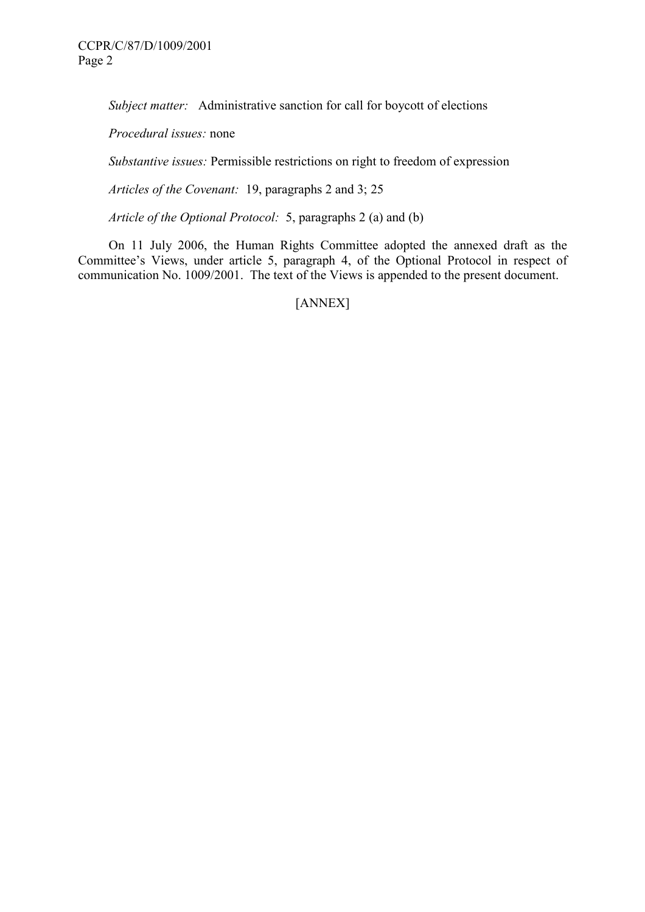Subject matter: Administrative sanction for call for boycott of elections

Procedural issues: none

Substantive issues: Permissible restrictions on right to freedom of expression

Articles of the Covenant: 19, paragraphs 2 and 3; 25

Article of the Optional Protocol: 5, paragraphs 2 (a) and (b)

 On 11 July 2006, the Human Rights Committee adopted the annexed draft as the Committee's Views, under article 5, paragraph 4, of the Optional Protocol in respect of communication No. 1009/2001. The text of the Views is appended to the present document.

[ANNEX]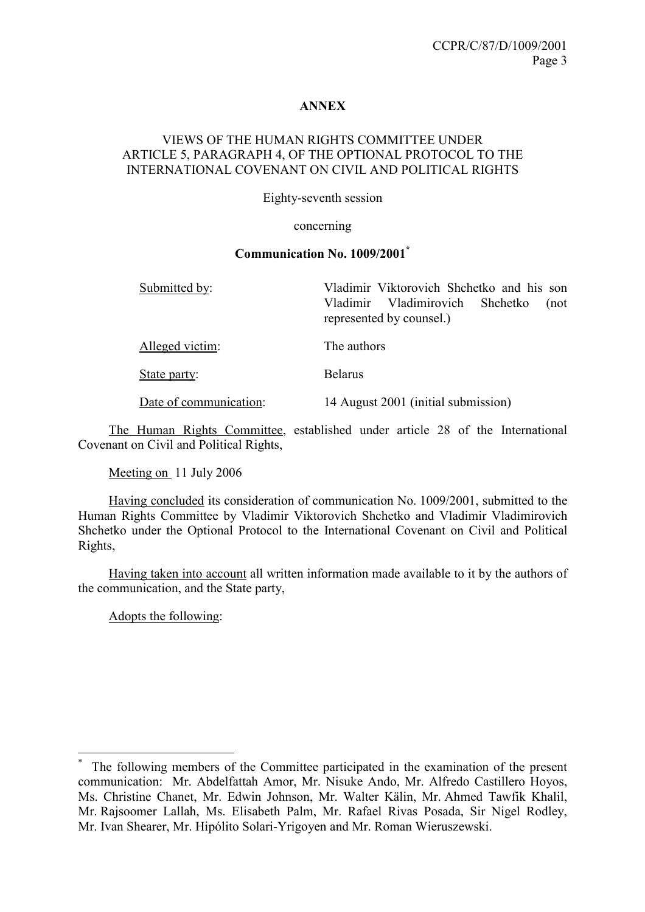#### ANNEX

#### VIEWS OF THE HUMAN RIGHTS COMMITTEE UNDER ARTICLE 5, PARAGRAPH 4, OF THE OPTIONAL PROTOCOL TO THE INTERNATIONAL COVENANT ON CIVIL AND POLITICAL RIGHTS

Eighty-seventh session

#### concerning

#### Communication No. 1009/2001\*

| Submitted by:          | Vladimir Viktorovich Shchetko and his son<br>Vladimirovich Shchetko<br>Vladimir<br>(not<br>represented by counsel.) |
|------------------------|---------------------------------------------------------------------------------------------------------------------|
| Alleged victim:        | The authors                                                                                                         |
| State party:           | <b>Belarus</b>                                                                                                      |
| Date of communication: | 14 August 2001 (initial submission)                                                                                 |

 The Human Rights Committee, established under article 28 of the International Covenant on Civil and Political Rights,

Meeting on 11 July 2006

 Having concluded its consideration of communication No. 1009/2001, submitted to the Human Rights Committee by Vladimir Viktorovich Shchetko and Vladimir Vladimirovich Shchetko under the Optional Protocol to the International Covenant on Civil and Political Rights,

 Having taken into account all written information made available to it by the authors of the communication, and the State party,

Adopts the following:

 $\overline{a}$ 

<sup>\*</sup> The following members of the Committee participated in the examination of the present communication: Mr. Abdelfattah Amor, Mr. Nisuke Ando, Mr. Alfredo Castillero Hoyos, Ms. Christine Chanet, Mr. Edwin Johnson, Mr. Walter Kälin, Mr. Ahmed Tawfik Khalil, Mr. Rajsoomer Lallah, Ms. Elisabeth Palm, Mr. Rafael Rivas Posada, Sir Nigel Rodley, Mr. Ivan Shearer, Mr. Hipólito Solari-Yrigoyen and Mr. Roman Wieruszewski.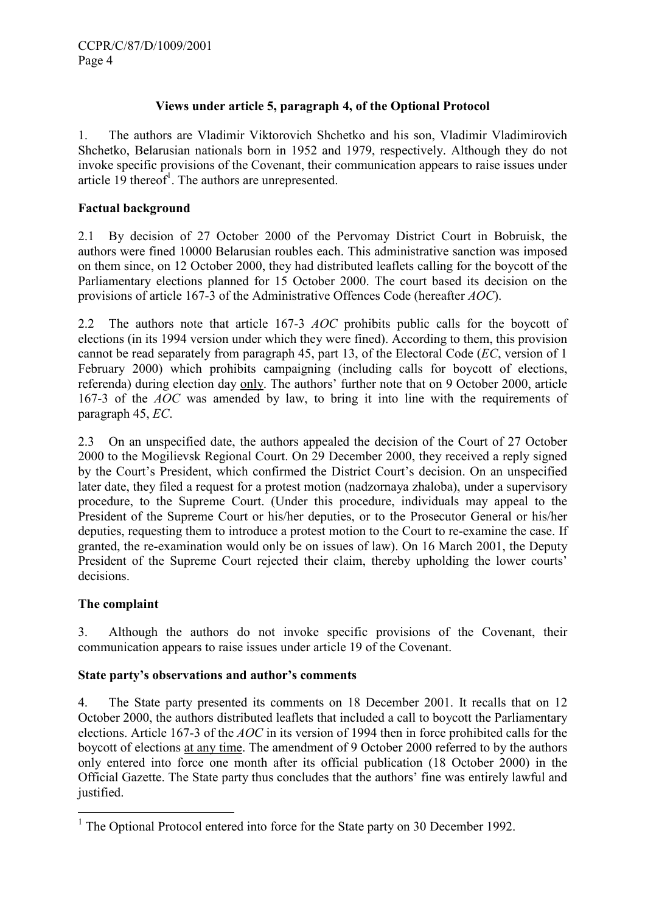#### Views under article 5, paragraph 4, of the Optional Protocol

1. The authors are Vladimir Viktorovich Shchetko and his son, Vladimir Vladimirovich Shchetko, Belarusian nationals born in 1952 and 1979, respectively. Although they do not invoke specific provisions of the Covenant, their communication appears to raise issues under article  $19$  thereof<sup>1</sup>. The authors are unrepresented.

#### Factual background

2.1 By decision of 27 October 2000 of the Pervomay District Court in Bobruisk, the authors were fined 10000 Belarusian roubles each. This administrative sanction was imposed on them since, on 12 October 2000, they had distributed leaflets calling for the boycott of the Parliamentary elections planned for 15 October 2000. The court based its decision on the provisions of article 167-3 of the Administrative Offences Code (hereafter AOC).

2.2 The authors note that article 167-3 *AOC* prohibits public calls for the boycott of elections (in its 1994 version under which they were fined). According to them, this provision cannot be read separately from paragraph 45, part 13, of the Electoral Code (EC, version of 1 February 2000) which prohibits campaigning (including calls for boycott of elections, referenda) during election day only. The authors' further note that on 9 October 2000, article 167-3 of the AOC was amended by law, to bring it into line with the requirements of paragraph 45, EC.

2.3 On an unspecified date, the authors appealed the decision of the Court of 27 October 2000 to the Mogilievsk Regional Court. On 29 December 2000, they received a reply signed by the Court's President, which confirmed the District Court's decision. On an unspecified later date, they filed a request for a protest motion (nadzornaya zhaloba), under a supervisory procedure, to the Supreme Court. (Under this procedure, individuals may appeal to the President of the Supreme Court or his/her deputies, or to the Prosecutor General or his/her deputies, requesting them to introduce a protest motion to the Court to re-examine the case. If granted, the re-examination would only be on issues of law). On 16 March 2001, the Deputy President of the Supreme Court rejected their claim, thereby upholding the lower courts' decisions.

#### The complaint

3. Although the authors do not invoke specific provisions of the Covenant, their communication appears to raise issues under article 19 of the Covenant.

#### State party's observations and author's comments

4. The State party presented its comments on 18 December 2001. It recalls that on 12 October 2000, the authors distributed leaflets that included a call to boycott the Parliamentary elections. Article 167-3 of the AOC in its version of 1994 then in force prohibited calls for the boycott of elections at any time. The amendment of 9 October 2000 referred to by the authors only entered into force one month after its official publication (18 October 2000) in the Official Gazette. The State party thus concludes that the authors' fine was entirely lawful and justified.

 $\overline{a}$ <sup>1</sup> The Optional Protocol entered into force for the State party on 30 December 1992.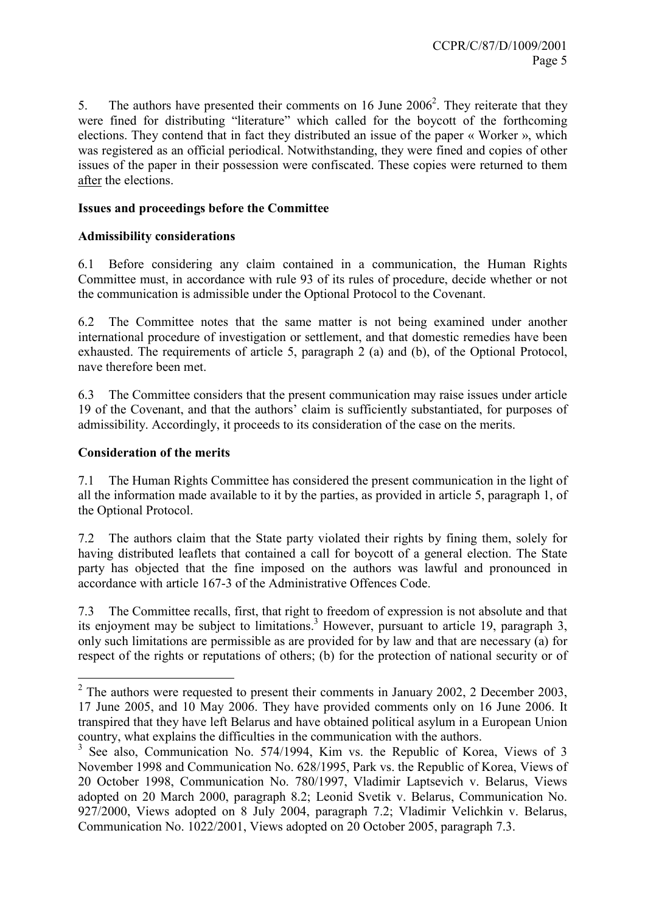5. The authors have presented their comments on 16 June  $2006<sup>2</sup>$ . They reiterate that they were fined for distributing "literature" which called for the boycott of the forthcoming elections. They contend that in fact they distributed an issue of the paper « Worker », which was registered as an official periodical. Notwithstanding, they were fined and copies of other issues of the paper in their possession were confiscated. These copies were returned to them after the elections.

#### Issues and proceedings before the Committee

#### Admissibility considerations

6.1 Before considering any claim contained in a communication, the Human Rights Committee must, in accordance with rule 93 of its rules of procedure, decide whether or not the communication is admissible under the Optional Protocol to the Covenant.

6.2 The Committee notes that the same matter is not being examined under another international procedure of investigation or settlement, and that domestic remedies have been exhausted. The requirements of article 5, paragraph 2 (a) and (b), of the Optional Protocol, nave therefore been met.

6.3 The Committee considers that the present communication may raise issues under article 19 of the Covenant, and that the authors' claim is sufficiently substantiated, for purposes of admissibility. Accordingly, it proceeds to its consideration of the case on the merits.

#### Consideration of the merits

 $\overline{a}$ 

7.1 The Human Rights Committee has considered the present communication in the light of all the information made available to it by the parties, as provided in article 5, paragraph 1, of the Optional Protocol.

7.2 The authors claim that the State party violated their rights by fining them, solely for having distributed leaflets that contained a call for boycott of a general election. The State party has objected that the fine imposed on the authors was lawful and pronounced in accordance with article 167-3 of the Administrative Offences Code.

7.3 The Committee recalls, first, that right to freedom of expression is not absolute and that its enjoyment may be subject to limitations.<sup>3</sup> However, pursuant to article 19, paragraph 3, only such limitations are permissible as are provided for by law and that are necessary (a) for respect of the rights or reputations of others; (b) for the protection of national security or of

 $2$  The authors were requested to present their comments in January 2002, 2 December 2003, 17 June 2005, and 10 May 2006. They have provided comments only on 16 June 2006. It transpired that they have left Belarus and have obtained political asylum in a European Union country, what explains the difficulties in the communication with the authors.

<sup>3</sup> See also, Communication No. 574/1994, Kim vs. the Republic of Korea, Views of 3 November 1998 and Communication No. 628/1995, Park vs. the Republic of Korea, Views of 20 October 1998, Communication No. 780/1997, Vladimir Laptsevich v. Belarus, Views adopted on 20 March 2000, paragraph 8.2; Leonid Svetik v. Belarus, Communication No. 927/2000, Views adopted on 8 July 2004, paragraph 7.2; Vladimir Velichkin v. Belarus, Communication No. 1022/2001, Views adopted on 20 October 2005, paragraph 7.3.